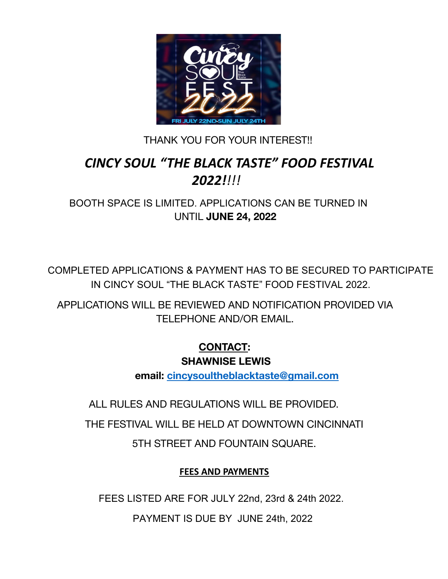

#### THANK YOU FOR YOUR INTEREST!!

## *CINCY SOUL "THE BLACK TASTE" FOOD FESTIVAL 2022!!!!*

BOOTH SPACE IS LIMITED. APPLICATIONS CAN BE TURNED IN UNTIL **JUNE 24, 2022**

COMPLETED APPLICATIONS & PAYMENT HAS TO BE SECURED TO PARTICIPATE CINCY SOUL "THE BLACK TASTE" FOOD FESTIVAL 2022. IN CINCY SOUL "THE BLACK TASTE" FOOD FESTIVAL 2022.

APPLICATIONS WILL BE REVIEWED AND NOTIFICATION PROVIDED VIA TELEPHONE AND/OR EMAIL.

# **CONTACT:**

**SHAWNISE LEWIS**

**email: cincysoultheblacktaste@gmail.com**

ALL RULES AND REGULATIONS WILL BE PROVIDED.

THE FESTIVAL WILL BE HELD AT DOWNTOWN CINCINNATI

5TH STREET AND FOUNTAIN SQUARE.

#### **FEES AND PAYMENTS**

FEES LISTED ARE FOR JULY 22nd, 23rd & 24th 2022.

PAYMENT IS DUE BY JUNE 24th, 2022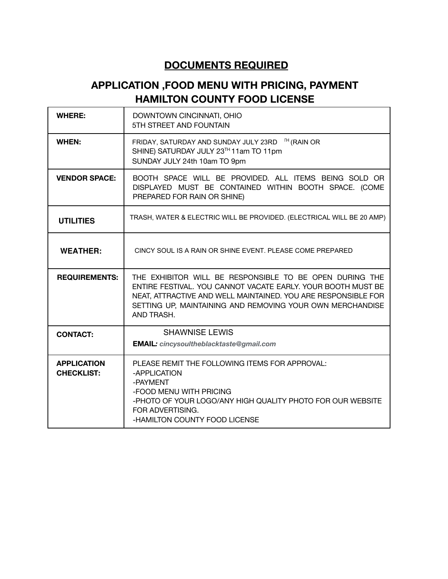#### **DOCUMENTS REQUIRED**

### **APPLICATION ,FOOD MENU WITH PRICING, PAYMENT HAMILTON COUNTY FOOD LICENSE**

| <b>WHERE:</b>                           | DOWNTOWN CINCINNATI, OHIO<br>5TH STREET AND FOUNTAIN                                                                                                                                                                                                                |  |  |
|-----------------------------------------|---------------------------------------------------------------------------------------------------------------------------------------------------------------------------------------------------------------------------------------------------------------------|--|--|
| <b>WHEN:</b>                            | FRIDAY, SATURDAY AND SUNDAY JULY 23RD <sup>[H</sup> (RAIN OR<br>SHINE) SATURDAY JULY 23TH 11am TO 11pm<br>SUNDAY JULY 24th 10am TO 9pm                                                                                                                              |  |  |
| <b>VENDOR SPACE:</b>                    | BOOTH SPACE WILL BE PROVIDED. ALL ITEMS BEING SOLD OR<br>DISPLAYED MUST BE CONTAINED WITHIN BOOTH SPACE. (COME<br>PREPARED FOR RAIN OR SHINE)                                                                                                                       |  |  |
| <b>UTILITIES</b>                        | TRASH, WATER & ELECTRIC WILL BE PROVIDED. (ELECTRICAL WILL BE 20 AMP)                                                                                                                                                                                               |  |  |
| <b>WEATHER:</b>                         | CINCY SOUL IS A RAIN OR SHINE EVENT. PLEASE COME PREPARED                                                                                                                                                                                                           |  |  |
| <b>REQUIREMENTS:</b>                    | THE EXHIBITOR WILL BE RESPONSIBLE TO BE OPEN DURING THE<br>ENTIRE FESTIVAL. YOU CANNOT VACATE EARLY, YOUR BOOTH MUST BE<br>NEAT, ATTRACTIVE AND WELL MAINTAINED. YOU ARE RESPONSIBLE FOR<br>SETTING UP, MAINTAINING AND REMOVING YOUR OWN MERCHANDISE<br>AND TRASH. |  |  |
| <b>CONTACT:</b>                         | <b>SHAWNISE LEWIS</b>                                                                                                                                                                                                                                               |  |  |
|                                         | <b>EMAIL:</b> cincysoultheblacktaste@gmail.com                                                                                                                                                                                                                      |  |  |
| <b>APPLICATION</b><br><b>CHECKLIST:</b> | PLEASE REMIT THE FOLLOWING ITEMS FOR APPROVAL:<br>-APPLICATION<br>-PAYMENT<br>-FOOD MENU WITH PRICING<br>-PHOTO OF YOUR LOGO/ANY HIGH QUALITY PHOTO FOR OUR WEBSITE<br>FOR ADVERTISING.<br>-HAMILTON COUNTY FOOD LICENSE                                            |  |  |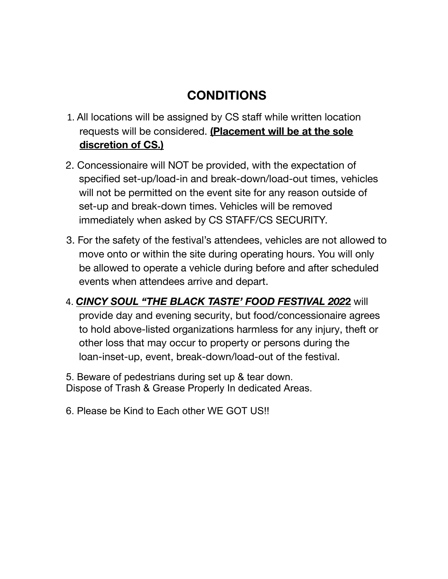## **CONDITIONS**

- 1. All locations will be assigned by CS staff while written location requests will be considered. **(Placement will be at the sole discretion of CS.)**
- 2. Concessionaire will NOT be provided, with the expectation of specified set-up/load-in and break-down/load-out times, vehicles will not be permitted on the event site for any reason outside of set-up and break-down times. Vehicles will be removed immediately when asked by CS STAFF/CS SECURITY.
- 3. For the safety of the festival's attendees, vehicles are not allowed to move onto or within the site during operating hours. You will only be allowed to operate a vehicle during before and after scheduled events when attendees arrive and depart.
- 4. *CINCY SOUL "THE BLACK TASTE' FOOD FESTIVAL 202***2** will provide day and evening security, but food/concessionaire agrees to hold above-listed organizations harmless for any injury, theft or other loss that may occur to property or persons during the loan-inset-up, event, break-down/load-out of the festival.

5. Beware of pedestrians during set up & tear down. Dispose of Trash & Grease Properly In dedicated Areas.

6. Please be Kind to Each other WE GOT US!!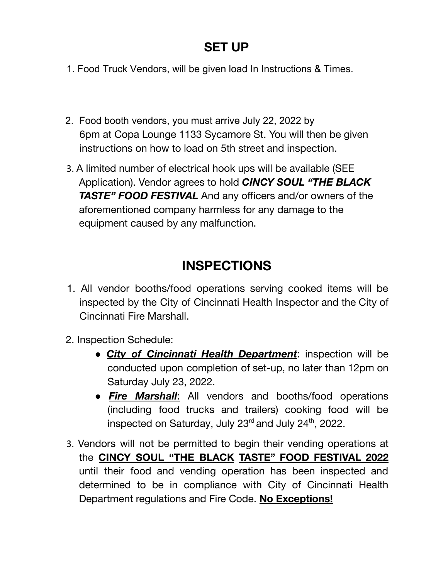### **SET UP**

- 1. Food Truck Vendors, will be given load In Instructions & Times.
- 2. Food booth vendors, you must arrive July 22, 2022 by 6pm at Copa Lounge 1133 Sycamore St. You will then be given instructions on how to load on 5th street and inspection.
- 3. A limited number of electrical hook ups will be available (SEE Application). Vendor agrees to hold *CINCY SOUL "THE BLACK TASTE" FOOD FESTIVAL* And any officers and/or owners of the aforementioned company harmless for any damage to the equipment caused by any malfunction.

## **INSPECTIONS**

- 1. All vendor booths/food operations serving cooked items will be inspected by the City of Cincinnati Health Inspector and the City of Cincinnati Fire Marshall.
- 2. Inspection Schedule:
	- *City of Cincinnati Health Department*: inspection will be conducted upon completion of set-up, no later than 12pm on Saturday July 23, 2022.
	- *Fire Marshall*: All vendors and booths/food operations (including food trucks and trailers) cooking food will be inspected on Saturday, July 23<sup>rd</sup> and July 24<sup>th</sup>, 2022.
- 3. Vendors will not be permitted to begin their vending operations at the **CINCY SOUL "THE BLACK TASTE" FOOD FESTIVAL 2022** until their food and vending operation has been inspected and determined to be in compliance with City of Cincinnati Health Department regulations and Fire Code. **No Exceptions!**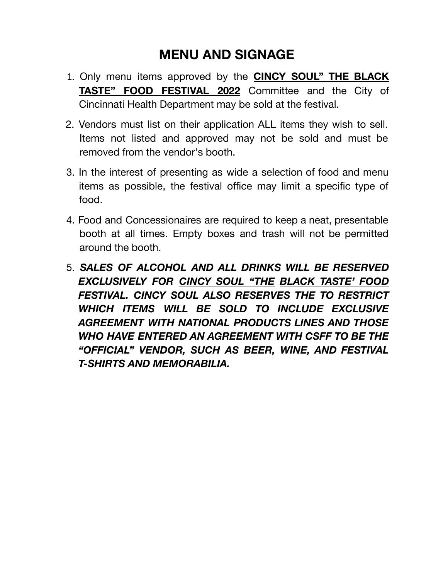## **MENU AND SIGNAGE**

- 1. Only menu items approved by the **CINCY SOUL" THE BLACK TASTE" FOOD FESTIVAL 2022** Committee and the City of Cincinnati Health Department may be sold at the festival.
- 2. Vendors must list on their application ALL items they wish to sell. Items not listed and approved may not be sold and must be removed from the vendor's booth.
- 3. In the interest of presenting as wide a selection of food and menu items as possible, the festival office may limit a specific type of food.
- 4. Food and Concessionaires are required to keep a neat, presentable booth at all times. Empty boxes and trash will not be permitted around the booth.
- 5. *SALES OF ALCOHOL AND ALL DRINKS WILL BE RESERVED EXCLUSIVELY FOR CINCY SOUL "THE BLACK TASTE' FOOD FESTIVAL. CINCY SOUL ALSO RESERVES THE TO RESTRICT WHICH ITEMS WILL BE SOLD TO INCLUDE EXCLUSIVE AGREEMENT WITH NATIONAL PRODUCTS LINES AND THOSE WHO HAVE ENTERED AN AGREEMENT WITH CSFF TO BE THE "OFFICIAL" VENDOR, SUCH AS BEER, WINE, AND FESTIVAL T-SHIRTS AND MEMORABILIA.*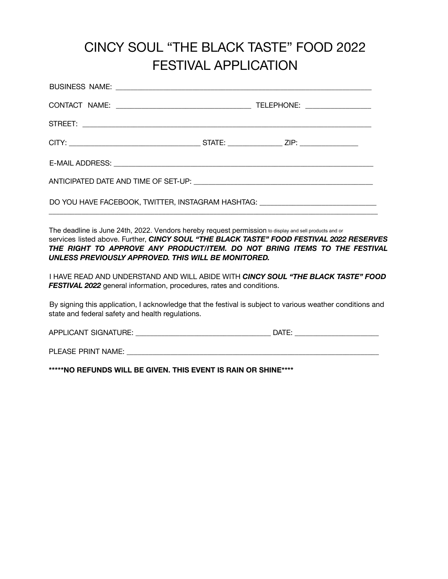## CINCY SOUL "THE BLACK TASTE" FOOD 2022 FESTIVAL APPLICATION

| DO YOU HAVE FACEBOOK, TWITTER, INSTAGRAM HASHTAG: ______________________________ |  |  |  |
|----------------------------------------------------------------------------------|--|--|--|

The deadline is June 24th, 2022. Vendors hereby request permission to display and sell products and or services listed above. Further, *CINCY SOUL "THE BLACK TASTE" FOOD FESTIVAL 2022 RESERVES THE RIGHT TO APPROVE ANY PRODUCT/ITEM. DO NOT BRING ITEMS TO THE FESTIVAL UNLESS PREVIOUSLY APPROVED. THIS WILL BE MONITORED.*

I HAVE READ AND UNDERSTAND AND WILL ABIDE WITH *CINCY SOUL "THE BLACK TASTE" FOOD* **FESTIVAL 2022** general information, procedures, rates and conditions.

By signing this application, I acknowledge that the festival is subject to various weather conditions and state and federal safety and health regulations.

APPLICANT SIGNATURE: \_\_\_\_\_\_\_\_\_\_\_\_\_\_\_\_\_\_\_\_\_\_\_\_\_\_\_\_\_\_\_\_\_\_\_\_\_ DATE: \_\_\_\_\_\_\_\_\_\_\_\_\_\_\_\_\_\_\_\_\_\_\_

PLEASE PRINT NAME: \_\_\_\_\_\_\_\_\_\_\_\_\_\_\_\_\_\_\_\_\_\_\_\_\_\_\_\_\_\_\_\_\_\_\_\_\_\_\_\_\_\_\_\_\_\_\_\_\_\_\_\_\_\_\_\_\_\_\_\_\_\_\_\_\_\_\_\_\_

**\*\*\*\*\*NO REFUNDS WILL BE GIVEN. THIS EVENT IS RAIN OR SHINE\*\*\*\***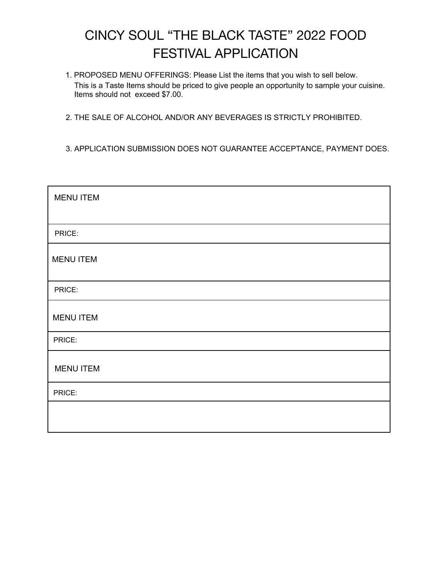## CINCY SOUL "THE BLACK TASTE" 2022 FOOD FESTIVAL APPLICATION

- 1. PROPOSED MENU OFFERINGS: Please List the items that you wish to sell below. This is a Taste Items should be priced to give people an opportunity to sample your cuisine. Items should not exceed \$7.00.
- 2. THE SALE OF ALCOHOL AND/OR ANY BEVERAGES IS STRICTLY PROHIBITED.
- 3. APPLICATION SUBMISSION DOES NOT GUARANTEE ACCEPTANCE, PAYMENT DOES.

| <b>MENU ITEM</b> |
|------------------|
|                  |
| PRICE:           |
| <b>MENU ITEM</b> |
| PRICE:           |
| <b>MENU ITEM</b> |
| PRICE:           |
| <b>MENU ITEM</b> |
| PRICE:           |
|                  |
|                  |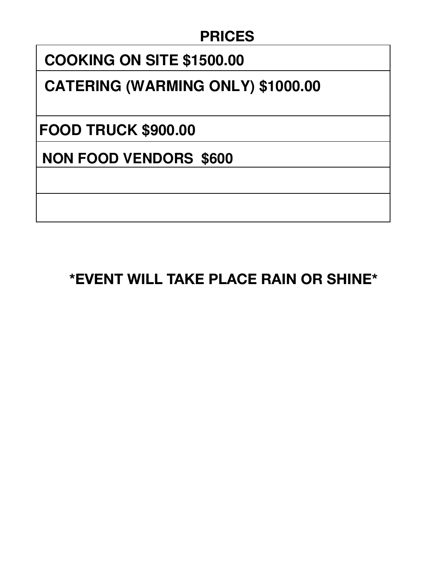## **PRICES**

# **BOOTH -COOKING \$1400.00 COOKING ON SITE \$1500.00**

# **CATERING (WARMING ONLY) \$1000.00**

**WATER FREE FOOD TRUCK \$900.00**

**NON FOOD VENDORS \$600** 

**\*EVENT WILL TAKE PLACE RAIN OR SHINE\***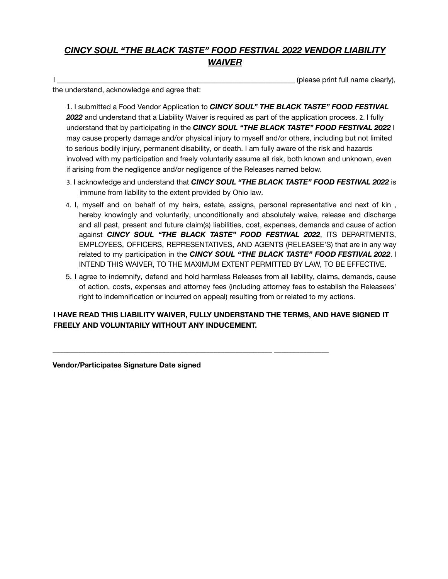#### *CINCY SOUL "THE BLACK TASTE" FOOD FESTIVAL 2022 VENDOR LIABILITY WAIVER*

I \_\_\_\_\_\_\_\_\_\_\_\_\_\_\_\_\_\_\_\_\_\_\_\_\_\_\_\_\_\_\_\_\_\_\_\_\_\_\_\_\_\_\_\_\_\_\_\_\_\_\_\_\_\_\_\_\_\_\_\_\_\_\_\_\_ (please print full name clearly),

the understand, acknowledge and agree that:

1. I submitted a Food Vendor Application to *CINCY SOUL" THE BLACK TASTE" FOOD FESTIVAL 2022* and understand that a Liability Waiver is required as part of the application process. 2. I fully understand that by participating in the *CINCY SOUL "THE BLACK TASTE" FOOD FESTIVAL 2022* I may cause property damage and/or physical injury to myself and/or others, including but not limited to serious bodily injury, permanent disability, or death. I am fully aware of the risk and hazards involved with my participation and freely voluntarily assume all risk, both known and unknown, even if arising from the negligence and/or negligence of the Releases named below.

- 3. I acknowledge and understand that *CINCY SOUL "THE BLACK TASTE" FOOD FESTIVAL 2022* is immune from liability to the extent provided by Ohio law.
- 4. I, myself and on behalf of my heirs, estate, assigns, personal representative and next of kin , hereby knowingly and voluntarily, unconditionally and absolutely waive, release and discharge and all past, present and future claim(s) liabilities, cost, expenses, demands and cause of action against *CINCY SOUL "THE BLACK TASTE" FOOD FESTIVAL 2022*, ITS DEPARTMENTS, EMPLOYEES, OFFICERS, REPRESENTATIVES, AND AGENTS (RELEASEE'S) that are in any way related to my participation in the *CINCY SOUL "THE BLACK TASTE" FOOD FESTIVAL 2022*. I INTEND THIS WAIVER, TO THE MAXIMUM EXTENT PERMITTED BY LAW, TO BE EFFECTIVE.
- 5. I agree to indemnify, defend and hold harmless Releases from all liability, claims, demands, cause of action, costs, expenses and attorney fees (including attorney fees to establish the Releasees' right to indemnification or incurred on appeal) resulting from or related to my actions.

**I HAVE READ THIS LIABILITY WAIVER, FULLY UNDERSTAND THE TERMS, AND HAVE SIGNED IT FREELY AND VOLUNTARILY WITHOUT ANY INDUCEMENT.**

**\_\_\_\_\_\_\_\_\_\_\_\_\_\_\_\_\_\_\_\_\_\_\_\_\_\_\_\_\_\_\_\_\_\_\_\_\_\_\_\_\_\_\_\_\_\_\_\_\_\_\_\_\_\_\_\_\_\_\_\_ \_\_\_\_\_\_\_\_\_\_\_\_\_\_\_**

**Vendor/Participates Signature Date signed**